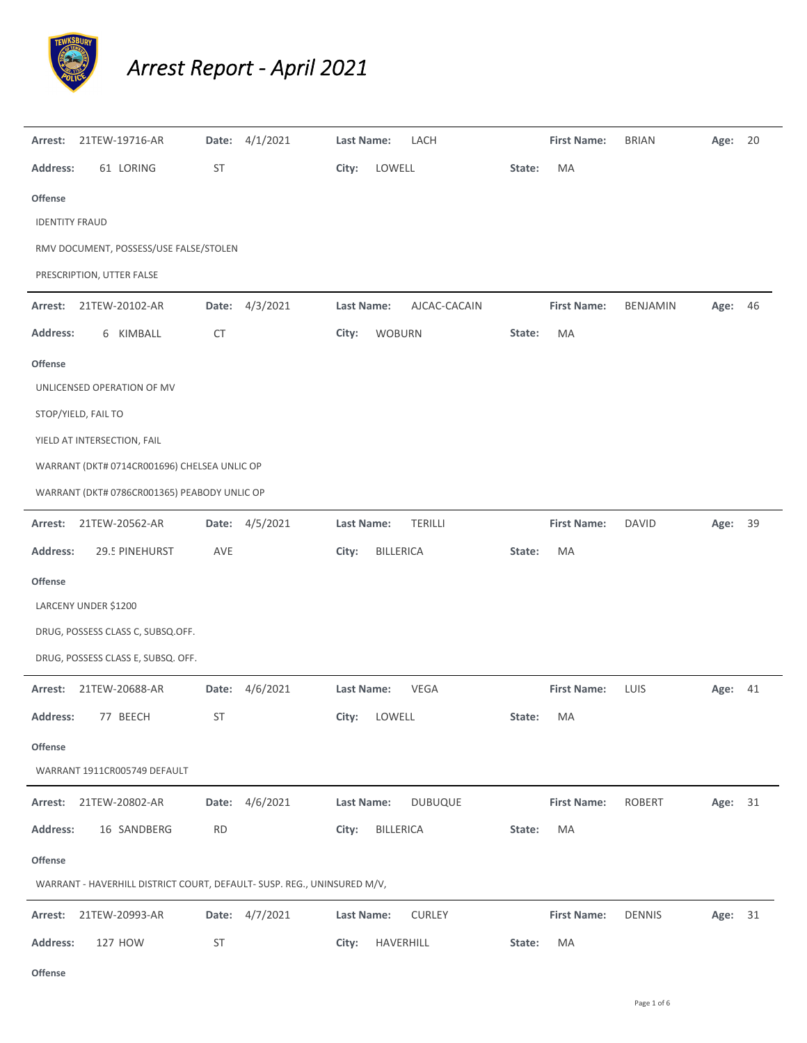

## *Arrest Report ‐ April 2021*

| Arrest:               | 21TEW-19716-AR                                                          |           | Date: 4/1/2021 | Last Name:        |                  | LACH           |           | <b>First Name:</b> | <b>BRIAN</b>    | Age:    | - 20 |
|-----------------------|-------------------------------------------------------------------------|-----------|----------------|-------------------|------------------|----------------|-----------|--------------------|-----------------|---------|------|
| <b>Address:</b>       | 61 LORING                                                               | ST        |                | City:             | LOWELL           |                | State:    | MA                 |                 |         |      |
| <b>Offense</b>        |                                                                         |           |                |                   |                  |                |           |                    |                 |         |      |
| <b>IDENTITY FRAUD</b> |                                                                         |           |                |                   |                  |                |           |                    |                 |         |      |
|                       | RMV DOCUMENT, POSSESS/USE FALSE/STOLEN                                  |           |                |                   |                  |                |           |                    |                 |         |      |
|                       | PRESCRIPTION, UTTER FALSE                                               |           |                |                   |                  |                |           |                    |                 |         |      |
| Arrest:               | 21TEW-20102-AR                                                          | Date:     | 4/3/2021       | <b>Last Name:</b> |                  | AJCAC-CACAIN   |           | <b>First Name:</b> | <b>BENJAMIN</b> | Age:    | 46   |
| <b>Address:</b>       | 6 KIMBALL                                                               | <b>CT</b> |                | City:             | <b>WOBURN</b>    |                | State:    | MA                 |                 |         |      |
| <b>Offense</b>        |                                                                         |           |                |                   |                  |                |           |                    |                 |         |      |
|                       | UNLICENSED OPERATION OF MV                                              |           |                |                   |                  |                |           |                    |                 |         |      |
| STOP/YIELD, FAIL TO   |                                                                         |           |                |                   |                  |                |           |                    |                 |         |      |
|                       | YIELD AT INTERSECTION, FAIL                                             |           |                |                   |                  |                |           |                    |                 |         |      |
|                       | WARRANT (DKT# 0714CR001696) CHELSEA UNLIC OP                            |           |                |                   |                  |                |           |                    |                 |         |      |
|                       | WARRANT (DKT# 0786CR001365) PEABODY UNLIC OP                            |           |                |                   |                  |                |           |                    |                 |         |      |
| Arrest:               | 21TEW-20562-AR                                                          |           | Date: 4/5/2021 | Last Name:        |                  | <b>TERILLI</b> |           | <b>First Name:</b> | <b>DAVID</b>    | Age:    | 39   |
| <b>Address:</b>       | 29.5 PINEHURST                                                          | AVE       |                | City:             | <b>BILLERICA</b> |                | State:    | MA                 |                 |         |      |
| <b>Offense</b>        |                                                                         |           |                |                   |                  |                |           |                    |                 |         |      |
| LARCENY UNDER \$1200  |                                                                         |           |                |                   |                  |                |           |                    |                 |         |      |
|                       | DRUG, POSSESS CLASS C, SUBSQ.OFF.                                       |           |                |                   |                  |                |           |                    |                 |         |      |
|                       | DRUG, POSSESS CLASS E, SUBSQ. OFF.                                      |           |                |                   |                  |                |           |                    |                 |         |      |
| Arrest:               | 21TEW-20688-AR                                                          |           | Date: 4/6/2021 | Last Name:        |                  | <b>VEGA</b>    |           | <b>First Name:</b> | LUIS            | Age:    | 41   |
| <b>Address:</b>       | 77 BEECH                                                                | ST        |                | City: LOWELL      |                  |                | State: MA |                    |                 |         |      |
| <b>Offense</b>        |                                                                         |           |                |                   |                  |                |           |                    |                 |         |      |
|                       | WARRANT 1911CR005749 DEFAULT                                            |           |                |                   |                  |                |           |                    |                 |         |      |
| Arrest:               | 21TEW-20802-AR                                                          |           | Date: 4/6/2021 | Last Name:        |                  | <b>DUBUQUE</b> |           | <b>First Name:</b> | ROBERT          | Age: 31 |      |
| <b>Address:</b>       | 16 SANDBERG                                                             | <b>RD</b> |                | City:             | BILLERICA        |                | State:    | MA                 |                 |         |      |
| Offense               |                                                                         |           |                |                   |                  |                |           |                    |                 |         |      |
|                       | WARRANT - HAVERHILL DISTRICT COURT, DEFAULT- SUSP. REG., UNINSURED M/V, |           |                |                   |                  |                |           |                    |                 |         |      |
| Arrest:               | 21TEW-20993-AR                                                          |           | Date: 4/7/2021 | Last Name:        |                  | <b>CURLEY</b>  |           | <b>First Name:</b> | <b>DENNIS</b>   | Age: 31 |      |
| <b>Address:</b>       | 127 HOW                                                                 | <b>ST</b> |                | City:             | HAVERHILL        |                | State:    | MA                 |                 |         |      |

**Offense**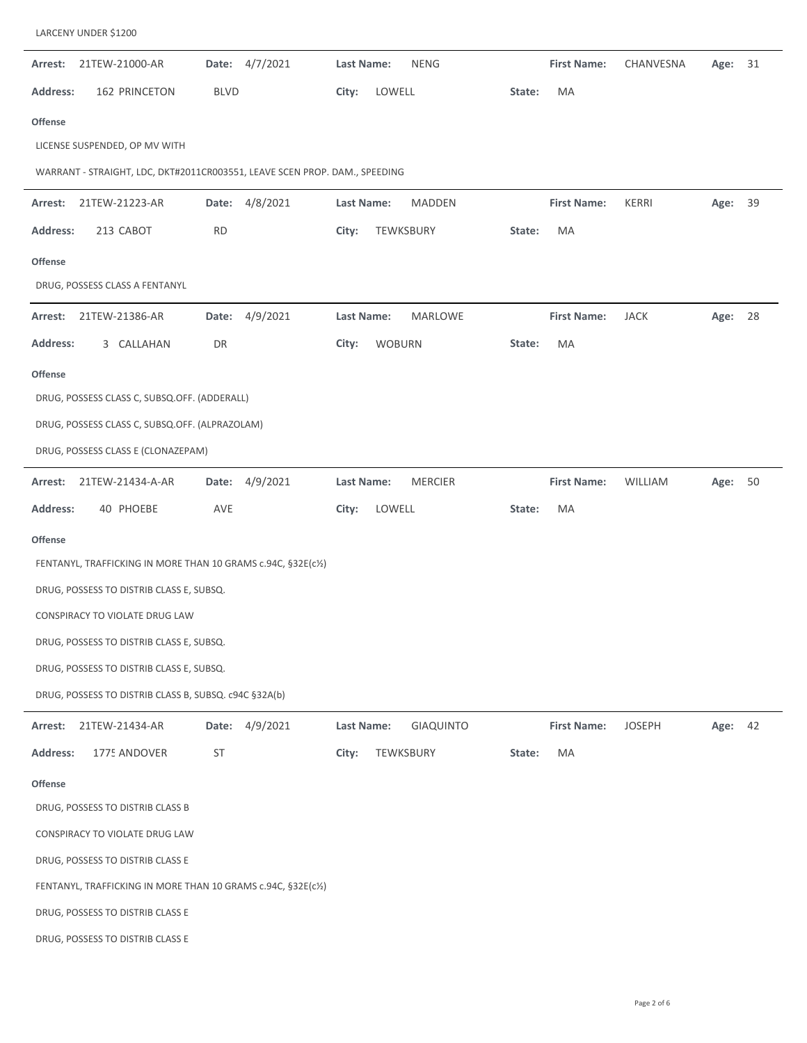| Arrest:         | 21TEW-21000-AR                                                             |             | Date: 4/7/2021 | <b>Last Name:</b> |               | <b>NENG</b>    |        | <b>First Name:</b> | CHANVESNA     | Age:    | 31 |
|-----------------|----------------------------------------------------------------------------|-------------|----------------|-------------------|---------------|----------------|--------|--------------------|---------------|---------|----|
| Address:        | 162 PRINCETON                                                              | <b>BLVD</b> |                | City:             | LOWELL        |                | State: | MA                 |               |         |    |
| <b>Offense</b>  |                                                                            |             |                |                   |               |                |        |                    |               |         |    |
|                 | LICENSE SUSPENDED, OP MV WITH                                              |             |                |                   |               |                |        |                    |               |         |    |
|                 | WARRANT - STRAIGHT, LDC, DKT#2011CR003551, LEAVE SCEN PROP. DAM., SPEEDING |             |                |                   |               |                |        |                    |               |         |    |
| Arrest:         | 21TEW-21223-AR                                                             |             | Date: 4/8/2021 | Last Name:        |               | <b>MADDEN</b>  |        | <b>First Name:</b> | KERRI         | Age:    | 39 |
| <b>Address:</b> | 213 CABOT                                                                  | <b>RD</b>   |                | City:             | TEWKSBURY     |                | State: | MA                 |               |         |    |
| <b>Offense</b>  |                                                                            |             |                |                   |               |                |        |                    |               |         |    |
|                 | DRUG, POSSESS CLASS A FENTANYL                                             |             |                |                   |               |                |        |                    |               |         |    |
| Arrest:         | 21TEW-21386-AR                                                             | Date:       | 4/9/2021       | Last Name:        |               | <b>MARLOWE</b> |        | <b>First Name:</b> | <b>JACK</b>   | Age:    | 28 |
| <b>Address:</b> | 3 CALLAHAN                                                                 | DR          |                | City:             | <b>WOBURN</b> |                | State: | MA                 |               |         |    |
| <b>Offense</b>  |                                                                            |             |                |                   |               |                |        |                    |               |         |    |
|                 | DRUG, POSSESS CLASS C, SUBSQ.OFF. (ADDERALL)                               |             |                |                   |               |                |        |                    |               |         |    |
|                 | DRUG, POSSESS CLASS C, SUBSQ.OFF. (ALPRAZOLAM)                             |             |                |                   |               |                |        |                    |               |         |    |
|                 | DRUG, POSSESS CLASS E (CLONAZEPAM)                                         |             |                |                   |               |                |        |                    |               |         |    |
| Arrest:         | 21TEW-21434-A-AR                                                           | Date:       | 4/9/2021       | Last Name:        |               | <b>MERCIER</b> |        | <b>First Name:</b> | WILLIAM       | Age:    | 50 |
| <b>Address:</b> | 40 PHOEBE                                                                  | AVE         |                | City:             | LOWELL        |                | State: | MA                 |               |         |    |
| <b>Offense</b>  |                                                                            |             |                |                   |               |                |        |                    |               |         |    |
|                 | FENTANYL, TRAFFICKING IN MORE THAN 10 GRAMS c.94C, §32E(c1/2)              |             |                |                   |               |                |        |                    |               |         |    |
|                 | DRUG, POSSESS TO DISTRIB CLASS E, SUBSQ.                                   |             |                |                   |               |                |        |                    |               |         |    |
|                 | CONSPIRACY TO VIOLATE DRUG LAW                                             |             |                |                   |               |                |        |                    |               |         |    |
|                 | DRUG, POSSESS TO DISTRIB CLASS E, SUBSQ.                                   |             |                |                   |               |                |        |                    |               |         |    |
|                 | DRUG, POSSESS TO DISTRIB CLASS E, SUBSQ.                                   |             |                |                   |               |                |        |                    |               |         |    |
|                 | DRUG, POSSESS TO DISTRIB CLASS B, SUBSQ. c94C §32A(b)                      |             |                |                   |               |                |        |                    |               |         |    |
| Arrest:         | 21TEW-21434-AR                                                             |             | Date: 4/9/2021 | Last Name:        |               | GIAQUINTO      |        | <b>First Name:</b> | <b>JOSEPH</b> | Age: 42 |    |
| <b>Address:</b> | 1775 ANDOVER                                                               | <b>ST</b>   |                | City:             | TEWKSBURY     |                | State: | MA                 |               |         |    |
| <b>Offense</b>  |                                                                            |             |                |                   |               |                |        |                    |               |         |    |
|                 | DRUG, POSSESS TO DISTRIB CLASS B                                           |             |                |                   |               |                |        |                    |               |         |    |
|                 | CONSPIRACY TO VIOLATE DRUG LAW                                             |             |                |                   |               |                |        |                    |               |         |    |
|                 | DRUG, POSSESS TO DISTRIB CLASS E                                           |             |                |                   |               |                |        |                    |               |         |    |
|                 | FENTANYL, TRAFFICKING IN MORE THAN 10 GRAMS c.94C, §32E(c1/2)              |             |                |                   |               |                |        |                    |               |         |    |
|                 | DRUG, POSSESS TO DISTRIB CLASS E                                           |             |                |                   |               |                |        |                    |               |         |    |
|                 | DRUG, POSSESS TO DISTRIB CLASS E                                           |             |                |                   |               |                |        |                    |               |         |    |

LARCENY UNDER \$1200

 $\overline{\phantom{a}}$ 

 $\overline{\phantom{a}}$ 

 $\overline{\phantom{a}}$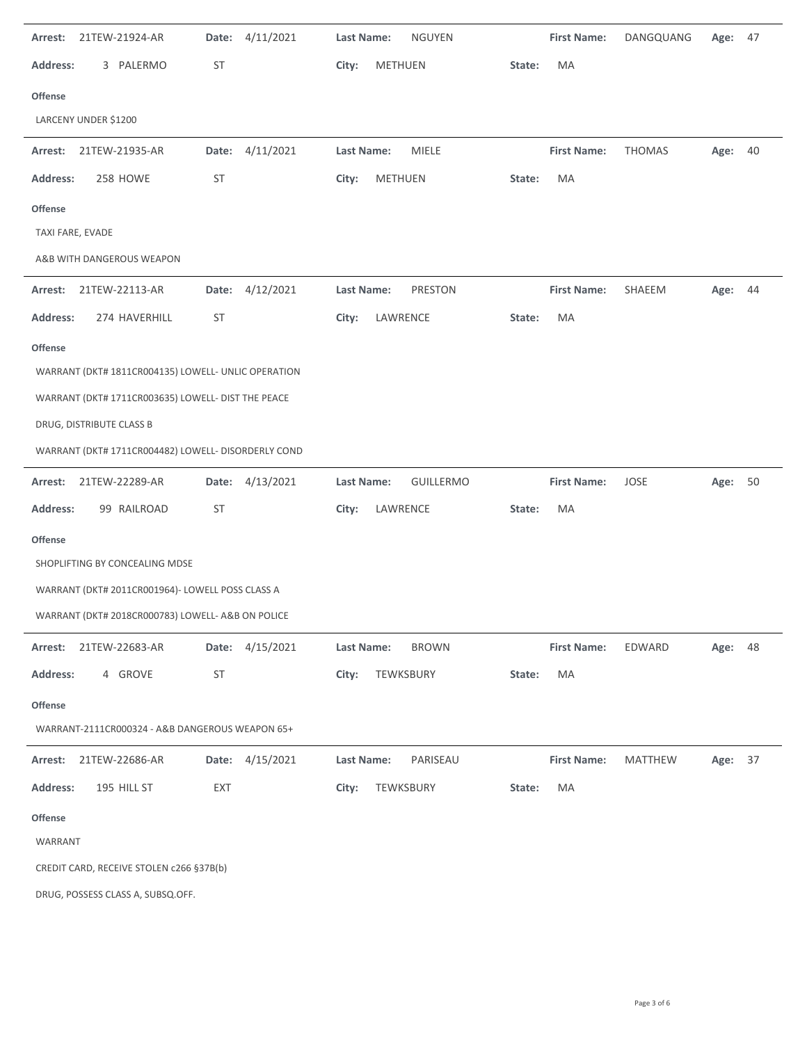| 21TEW-21924-AR<br>Arrest:                           | 4/11/2021<br>Date: | <b>Last Name:</b><br><b>NGUYEN</b> |        | <b>First Name:</b> | DANGQUANG      | Age:    | - 47 |
|-----------------------------------------------------|--------------------|------------------------------------|--------|--------------------|----------------|---------|------|
| <b>Address:</b><br>3 PALERMO                        | ST                 | City:<br>METHUEN                   | State: | MA                 |                |         |      |
| <b>Offense</b>                                      |                    |                                    |        |                    |                |         |      |
| LARCENY UNDER \$1200                                |                    |                                    |        |                    |                |         |      |
| 21TEW-21935-AR<br>Arrest:                           | Date: 4/11/2021    | MIELE<br>Last Name:                |        | <b>First Name:</b> | <b>THOMAS</b>  | Age: 40 |      |
| 258 HOWE<br><b>Address:</b>                         | ST                 | METHUEN<br>City:                   | State: | MA                 |                |         |      |
| <b>Offense</b>                                      |                    |                                    |        |                    |                |         |      |
| TAXI FARE, EVADE                                    |                    |                                    |        |                    |                |         |      |
| A&B WITH DANGEROUS WEAPON                           |                    |                                    |        |                    |                |         |      |
| 21TEW-22113-AR<br>Arrest:                           | Date: 4/12/2021    | PRESTON<br>Last Name:              |        | <b>First Name:</b> | SHAEEM         | Age: 44 |      |
| 274 HAVERHILL<br><b>Address:</b>                    | ST                 | City:<br>LAWRENCE                  | State: | MA                 |                |         |      |
| <b>Offense</b>                                      |                    |                                    |        |                    |                |         |      |
| WARRANT (DKT# 1811CR004135) LOWELL- UNLIC OPERATION |                    |                                    |        |                    |                |         |      |
| WARRANT (DKT# 1711CR003635) LOWELL- DIST THE PEACE  |                    |                                    |        |                    |                |         |      |
| DRUG, DISTRIBUTE CLASS B                            |                    |                                    |        |                    |                |         |      |
| WARRANT (DKT# 1711CR004482) LOWELL- DISORDERLY COND |                    |                                    |        |                    |                |         |      |
| Arrest: 21TEW-22289-AR                              | Date: 4/13/2021    | Last Name:<br><b>GUILLERMO</b>     |        | <b>First Name:</b> | JOSE           | Age: 50 |      |
|                                                     |                    |                                    |        |                    |                |         |      |
| <b>Address:</b><br>99 RAILROAD                      | ST                 | City:<br>LAWRENCE                  | State: | MA                 |                |         |      |
| <b>Offense</b>                                      |                    |                                    |        |                    |                |         |      |
| SHOPLIFTING BY CONCEALING MDSE                      |                    |                                    |        |                    |                |         |      |
| WARRANT (DKT# 2011CR001964)- LOWELL POSS CLASS A    |                    |                                    |        |                    |                |         |      |
| WARRANT (DKT# 2018CR000783) LOWELL- A&B ON POLICE   |                    |                                    |        |                    |                |         |      |
| Arrest: 21TEW-22683-AR                              | Date: 4/15/2021    | Last Name:<br><b>BROWN</b>         |        | <b>First Name:</b> | EDWARD         | Age:    | 48   |
| <b>Address:</b><br>4 GROVE                          | ST                 | TEWKSBURY<br>City:                 | State: | MA                 |                |         |      |
| <b>Offense</b>                                      |                    |                                    |        |                    |                |         |      |
| WARRANT-2111CR000324 - A&B DANGEROUS WEAPON 65+     |                    |                                    |        |                    |                |         |      |
| Arrest: 21TEW-22686-AR                              | Date: 4/15/2021    | PARISEAU<br>Last Name:             |        | <b>First Name:</b> | <b>MATTHEW</b> | Age: 37 |      |
| <b>Address:</b><br>195 HILL ST                      | EXT                | City:<br>TEWKSBURY                 | State: | MA                 |                |         |      |
| <b>Offense</b>                                      |                    |                                    |        |                    |                |         |      |
| WARRANT                                             |                    |                                    |        |                    |                |         |      |
| CREDIT CARD, RECEIVE STOLEN c266 §37B(b)            |                    |                                    |        |                    |                |         |      |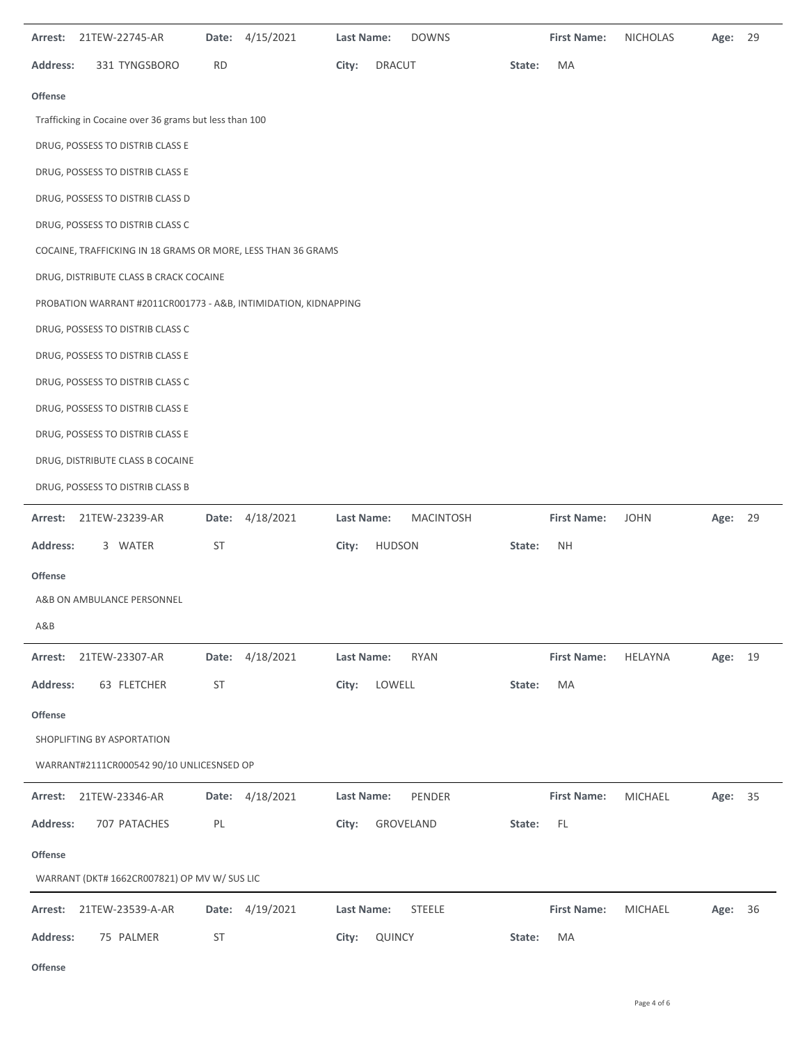|                 | Arrest: 21TEW-22745-AR                                          |           | Date: 4/15/2021 | Last Name: | <b>DOWNS</b>     |        | <b>First Name:</b> | <b>NICHOLAS</b> | Age:    | 29 |
|-----------------|-----------------------------------------------------------------|-----------|-----------------|------------|------------------|--------|--------------------|-----------------|---------|----|
| <b>Address:</b> | 331 TYNGSBORO                                                   | <b>RD</b> |                 | City:      | <b>DRACUT</b>    | State: | MA                 |                 |         |    |
| <b>Offense</b>  |                                                                 |           |                 |            |                  |        |                    |                 |         |    |
|                 | Trafficking in Cocaine over 36 grams but less than 100          |           |                 |            |                  |        |                    |                 |         |    |
|                 | DRUG, POSSESS TO DISTRIB CLASS E                                |           |                 |            |                  |        |                    |                 |         |    |
|                 | DRUG, POSSESS TO DISTRIB CLASS E                                |           |                 |            |                  |        |                    |                 |         |    |
|                 | DRUG, POSSESS TO DISTRIB CLASS D                                |           |                 |            |                  |        |                    |                 |         |    |
|                 | DRUG, POSSESS TO DISTRIB CLASS C                                |           |                 |            |                  |        |                    |                 |         |    |
|                 | COCAINE, TRAFFICKING IN 18 GRAMS OR MORE, LESS THAN 36 GRAMS    |           |                 |            |                  |        |                    |                 |         |    |
|                 | DRUG, DISTRIBUTE CLASS B CRACK COCAINE                          |           |                 |            |                  |        |                    |                 |         |    |
|                 | PROBATION WARRANT #2011CR001773 - A&B, INTIMIDATION, KIDNAPPING |           |                 |            |                  |        |                    |                 |         |    |
|                 | DRUG, POSSESS TO DISTRIB CLASS C                                |           |                 |            |                  |        |                    |                 |         |    |
|                 | DRUG, POSSESS TO DISTRIB CLASS E                                |           |                 |            |                  |        |                    |                 |         |    |
|                 | DRUG, POSSESS TO DISTRIB CLASS C                                |           |                 |            |                  |        |                    |                 |         |    |
|                 | DRUG, POSSESS TO DISTRIB CLASS E                                |           |                 |            |                  |        |                    |                 |         |    |
|                 | DRUG, POSSESS TO DISTRIB CLASS E                                |           |                 |            |                  |        |                    |                 |         |    |
|                 | DRUG, DISTRIBUTE CLASS B COCAINE                                |           |                 |            |                  |        |                    |                 |         |    |
|                 | DRUG, POSSESS TO DISTRIB CLASS B                                |           |                 |            |                  |        |                    |                 |         |    |
|                 |                                                                 |           |                 |            |                  |        |                    |                 |         |    |
| Arrest:         | 21TEW-23239-AR                                                  |           | Date: 4/18/2021 | Last Name: | <b>MACINTOSH</b> |        | <b>First Name:</b> | <b>JOHN</b>     | Age: 29 |    |
| <b>Address:</b> | 3 WATER                                                         | ST        |                 | City:      | <b>HUDSON</b>    | State: | NΗ                 |                 |         |    |
| <b>Offense</b>  |                                                                 |           |                 |            |                  |        |                    |                 |         |    |
|                 | A&B ON AMBULANCE PERSONNEL                                      |           |                 |            |                  |        |                    |                 |         |    |
| A&B             |                                                                 |           |                 |            |                  |        |                    |                 |         |    |
| Arrest:         | 21TEW-23307-AR                                                  | Date:     | 4/18/2021       | Last Name: | <b>RYAN</b>      |        | <b>First Name:</b> | <b>HELAYNA</b>  | Age: 19 |    |
| <b>Address:</b> | 63 FLETCHER                                                     | ST        |                 | City:      | LOWELL           | State: | MA                 |                 |         |    |
| Offense         |                                                                 |           |                 |            |                  |        |                    |                 |         |    |
|                 | SHOPLIFTING BY ASPORTATION                                      |           |                 |            |                  |        |                    |                 |         |    |
|                 | WARRANT#2111CR000542 90/10 UNLICESNSED OP                       |           |                 |            |                  |        |                    |                 |         |    |
| Arrest:         | 21TEW-23346-AR                                                  |           | Date: 4/18/2021 | Last Name: | PENDER           |        | <b>First Name:</b> | <b>MICHAEL</b>  | Age: 35 |    |
| <b>Address:</b> | 707 PATACHES                                                    | PL        |                 | City:      | GROVELAND        | State: | FL                 |                 |         |    |
| <b>Offense</b>  |                                                                 |           |                 |            |                  |        |                    |                 |         |    |
|                 | WARRANT (DKT# 1662CR007821) OP MV W/ SUS LIC                    |           |                 |            |                  |        |                    |                 |         |    |
| Arrest:         | 21TEW-23539-A-AR                                                | Date:     | 4/19/2021       | Last Name: | <b>STEELE</b>    |        | <b>First Name:</b> | MICHAEL         | Age:    | 36 |
| <b>Address:</b> | 75 PALMER                                                       | ST        |                 | City:      | QUINCY           | State: | MA                 |                 |         |    |

**Offense**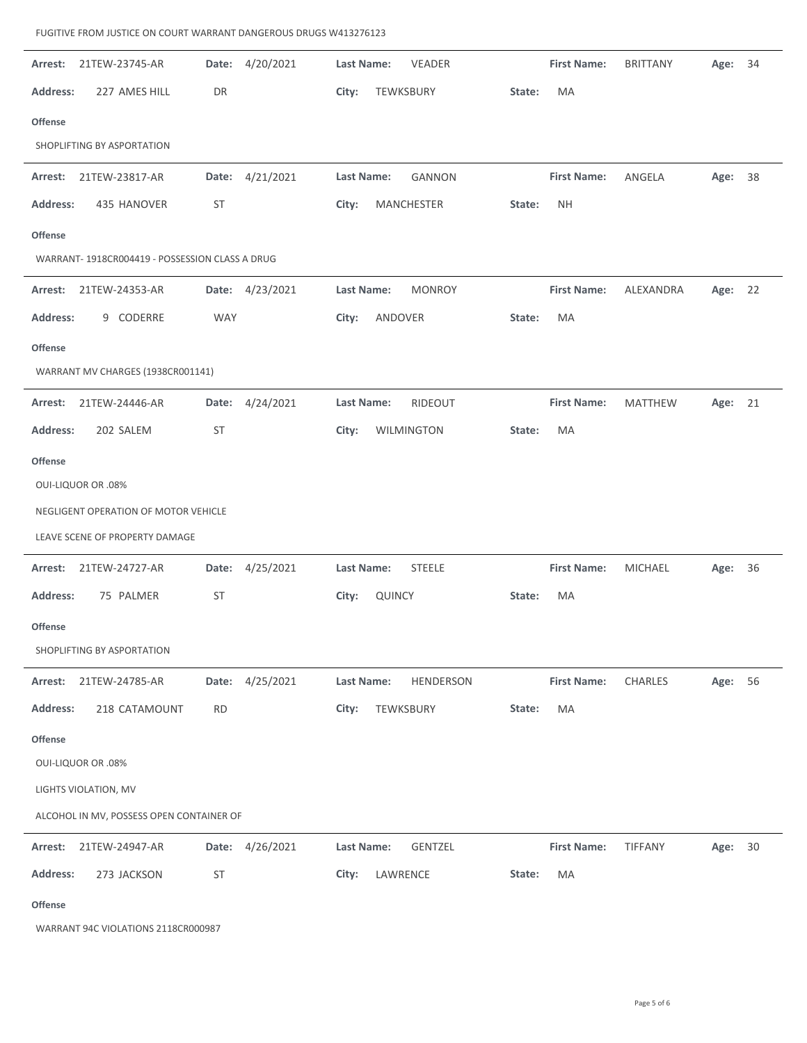$\overline{a}$ 

 $\overline{a}$ 

 $\overline{a}$ 

 $\ddot{\phantom{a}}$ 

 $\overline{a}$ 

| Arrest:         | 21TEW-23745-AR                                 |            | Date: 4/20/2021 | Last Name:        |           | VEADER         |        | <b>First Name:</b> | <b>BRITTANY</b> | Age:    | 34 |
|-----------------|------------------------------------------------|------------|-----------------|-------------------|-----------|----------------|--------|--------------------|-----------------|---------|----|
| <b>Address:</b> | 227 AMES HILL                                  | DR         |                 | City:             | TEWKSBURY |                | State: | MA                 |                 |         |    |
| <b>Offense</b>  |                                                |            |                 |                   |           |                |        |                    |                 |         |    |
|                 | SHOPLIFTING BY ASPORTATION                     |            |                 |                   |           |                |        |                    |                 |         |    |
| Arrest:         | 21TEW-23817-AR                                 |            | Date: 4/21/2021 | <b>Last Name:</b> |           | <b>GANNON</b>  |        | <b>First Name:</b> | ANGELA          | Age: 38 |    |
| <b>Address:</b> | 435 HANOVER                                    | <b>ST</b>  |                 | City:             |           | MANCHESTER     | State: | <b>NH</b>          |                 |         |    |
| <b>Offense</b>  |                                                |            |                 |                   |           |                |        |                    |                 |         |    |
|                 | WARRANT-1918CR004419 - POSSESSION CLASS A DRUG |            |                 |                   |           |                |        |                    |                 |         |    |
| Arrest:         | 21TEW-24353-AR                                 |            | Date: 4/23/2021 | <b>Last Name:</b> |           | <b>MONROY</b>  |        | <b>First Name:</b> | ALEXANDRA       | Age:    | 22 |
| <b>Address:</b> | 9 CODERRE                                      | <b>WAY</b> |                 | City:             | ANDOVER   |                | State: | MA                 |                 |         |    |
| <b>Offense</b>  |                                                |            |                 |                   |           |                |        |                    |                 |         |    |
|                 | WARRANT MV CHARGES (1938CR001141)              |            |                 |                   |           |                |        |                    |                 |         |    |
| Arrest:         | 21TEW-24446-AR                                 |            | Date: 4/24/2021 | <b>Last Name:</b> |           | RIDEOUT        |        | <b>First Name:</b> | <b>MATTHEW</b>  | Age: 21 |    |
| <b>Address:</b> | 202 SALEM                                      | <b>ST</b>  |                 | City:             |           | WILMINGTON     | State: | MA                 |                 |         |    |
| <b>Offense</b>  |                                                |            |                 |                   |           |                |        |                    |                 |         |    |
|                 | <b>OUI-LIQUOR OR .08%</b>                      |            |                 |                   |           |                |        |                    |                 |         |    |
|                 | NEGLIGENT OPERATION OF MOTOR VEHICLE           |            |                 |                   |           |                |        |                    |                 |         |    |
|                 | LEAVE SCENE OF PROPERTY DAMAGE                 |            |                 |                   |           |                |        |                    |                 |         |    |
|                 | Arrest: 21TEW-24727-AR                         |            | Date: 4/25/2021 | Last Name:        |           | STEELE         |        | <b>First Name:</b> | MICHAEL         | Age:    | 36 |
| <b>Address:</b> | 75 PALMER                                      | <b>ST</b>  |                 | City:             | QUINCY    |                | State: | MA                 |                 |         |    |
| <b>Offense</b>  |                                                |            |                 |                   |           |                |        |                    |                 |         |    |
|                 | SHOPLIFTING BY ASPORTATION                     |            |                 |                   |           |                |        |                    |                 |         |    |
| Arrest:         | 21TEW-24785-AR                                 |            | Date: 4/25/2021 | Last Name:        |           | HENDERSON      |        | <b>First Name:</b> | CHARLES         | Age:    | 56 |
| <b>Address:</b> | 218 CATAMOUNT                                  | <b>RD</b>  |                 | City:             | TEWKSBURY |                | State: | MA                 |                 |         |    |
| Offense         |                                                |            |                 |                   |           |                |        |                    |                 |         |    |
|                 |                                                |            |                 |                   |           |                |        |                    |                 |         |    |
|                 | <b>OUI-LIQUOR OR .08%</b>                      |            |                 |                   |           |                |        |                    |                 |         |    |
|                 | LIGHTS VIOLATION, MV                           |            |                 |                   |           |                |        |                    |                 |         |    |
|                 | ALCOHOL IN MV, POSSESS OPEN CONTAINER OF       |            |                 |                   |           |                |        |                    |                 |         |    |
|                 | Arrest: 21TEW-24947-AR                         |            | Date: 4/26/2021 | Last Name:        |           | <b>GENTZEL</b> |        | <b>First Name:</b> | TIFFANY         | Age: 30 |    |
| <b>Address:</b> | 273 JACKSON                                    | <b>ST</b>  |                 | City:             | LAWRENCE  |                | State: | MA                 |                 |         |    |

WARRANT 94C VIOLATIONS 2118CR000987